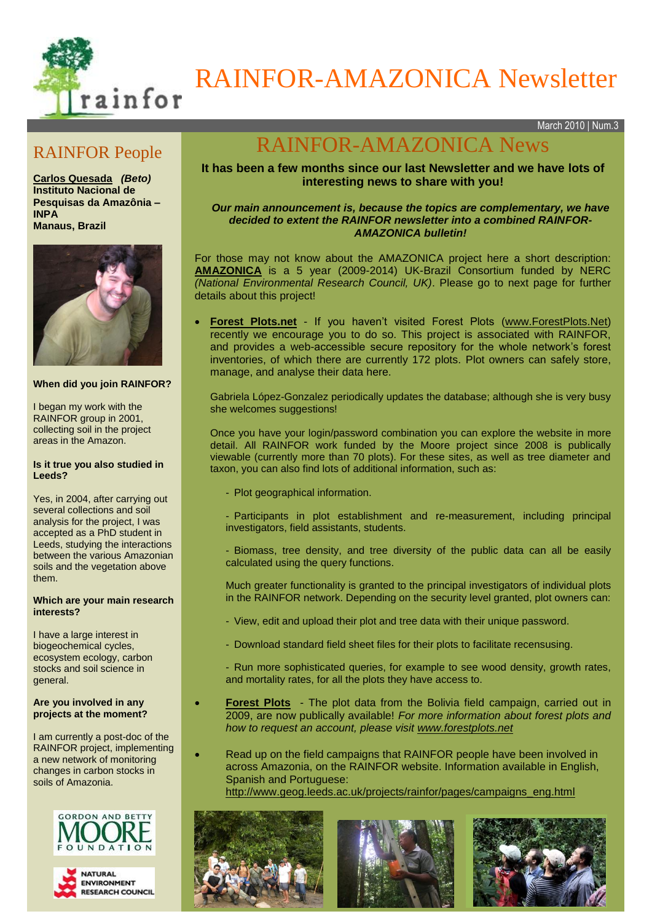

# RAINFOR-AMAZONICA Newsletter

March 2010 | Num.3

## RAINFOR People

**Carlos Quesada** *(Beto)* **Instituto Nacional de Pesquisas da Amazônia – INPA Manaus, Brazil**



#### **When did you join RAINFOR?**

I began my work with the RAINFOR group in 2001, collecting soil in the project areas in the Amazon.

#### **Is it true you also studied in Leeds?**

Yes, in 2004, after carrying out several collections and soil analysis for the project, I was accepted as a PhD student in Leeds, studying the interactions between the various Amazonian soils and the vegetation above them.

#### **Which are your main research interests?**

I have a large interest in biogeochemical cycles, ecosystem ecology, carbon stocks and soil science in general.

#### **Are you involved in any projects at the moment?**

I am currently a post-doc of the RAINFOR project, implementing a new network of monitoring changes in carbon stocks in soils of Amazonia.



# RAINFOR-AMAZONICA News

### **It has been a few months since our last Newsletter and we have lots of interesting news to share with you!**

#### *Our main announcement is, because the topics are complementary, we have decided to extent the RAINFOR newsletter into a combined RAINFOR-AMAZONICA bulletin!*

For those may not know about the AMAZONICA project here a short description: **[AMAZONICA](http://www.geog.leeds.ac.uk/projects/amazonica/index.html)** is a 5 year (2009-2014) UK-Brazil Consortium funded by NERC *(National Environmental Research Council, UK)*. Please go to next page for further details about this project!

 **[Forest Plots.](http://www.forestplots.net/)net** - If you haven't visited Forest Plots [\(www.ForestPlots.Net\)](http://www.forestplots.net/) recently we encourage you to do so. This project is associated with RAINFOR, and provides a web-accessible secure repository for the whole network's forest inventories, of which there are currently 172 plots. Plot owners can safely store, manage, and analyse their data here.

Gabriela López-Gonzalez periodically updates the database; although she is very busy she welcomes suggestions!

Once you have your login/password combination you can explore the website in more detail. All RAINFOR work funded by the Moore project since 2008 is publically viewable (currently more than 70 plots). For these sites, as well as tree diameter and taxon, you can also find lots of additional information, such as:

- Plot geographical information.
- Participants in plot establishment and re-measurement, including principal investigators, field assistants, students.
- Biomass, tree density, and tree diversity of the public data can all be easily calculated using the query functions.

Much greater functionality is granted to the principal investigators of individual plots in the RAINFOR network. Depending on the security level granted, plot owners can:

- View, edit and upload their plot and tree data with their unique password.
- Download standard field sheet files for their plots to facilitate recensusing.
- Run more sophisticated queries, for example to see wood density, growth rates, and mortality rates, for all the plots they have access to.
- **[Forest Plots](http://www.forestplots.net/)** The plot data from the Bolivia field campaign, carried out in 2009, are now publically available! *For more information about forest plots and how to request an account, please visit [www.forestplots.net](http://www.forestplots.net/)*
- Read up on the field campaigns that RAINFOR people have been involved in across Amazonia, on the RAINFOR website. Information available in English, Spanish and Portuguese: [http://www.geog.leeds.ac.uk/projects/rainfor/pages/campaigns\\_eng.html](http://www.geog.leeds.ac.uk/projects/rainfor/pages/campaigns_eng.html)